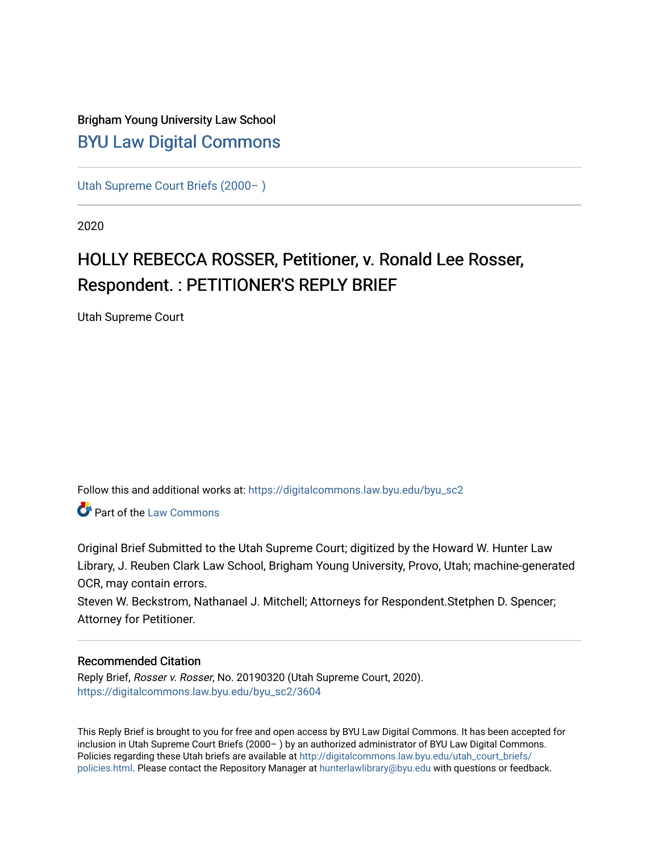# Brigham Young University Law School [BYU Law Digital Commons](https://digitalcommons.law.byu.edu/)

[Utah Supreme Court Briefs \(2000– \)](https://digitalcommons.law.byu.edu/byu_sc2)

2020

# HOLLY REBECCA ROSSER, Petitioner, v. Ronald Lee Rosser, Respondent. : PETITIONER'S REPLY BRIEF

Utah Supreme Court

Follow this and additional works at: [https://digitalcommons.law.byu.edu/byu\\_sc2](https://digitalcommons.law.byu.edu/byu_sc2?utm_source=digitalcommons.law.byu.edu%2Fbyu_sc2%2F3604&utm_medium=PDF&utm_campaign=PDFCoverPages) 

Part of the [Law Commons](https://network.bepress.com/hgg/discipline/578?utm_source=digitalcommons.law.byu.edu%2Fbyu_sc2%2F3604&utm_medium=PDF&utm_campaign=PDFCoverPages)

Original Brief Submitted to the Utah Supreme Court; digitized by the Howard W. Hunter Law Library, J. Reuben Clark Law School, Brigham Young University, Provo, Utah; machine-generated OCR, may contain errors.

Steven W. Beckstrom, Nathanael J. Mitchell; Attorneys for Respondent.Stetphen D. Spencer; Attorney for Petitioner.

#### Recommended Citation

Reply Brief, Rosser v. Rosser, No. 20190320 (Utah Supreme Court, 2020). [https://digitalcommons.law.byu.edu/byu\\_sc2/3604](https://digitalcommons.law.byu.edu/byu_sc2/3604?utm_source=digitalcommons.law.byu.edu%2Fbyu_sc2%2F3604&utm_medium=PDF&utm_campaign=PDFCoverPages)

This Reply Brief is brought to you for free and open access by BYU Law Digital Commons. It has been accepted for inclusion in Utah Supreme Court Briefs (2000– ) by an authorized administrator of BYU Law Digital Commons. Policies regarding these Utah briefs are available at [http://digitalcommons.law.byu.edu/utah\\_court\\_briefs/](http://digitalcommons.law.byu.edu/utah_court_briefs/policies.html) [policies.html](http://digitalcommons.law.byu.edu/utah_court_briefs/policies.html). Please contact the Repository Manager at hunterlawlibrary@byu.edu with questions or feedback.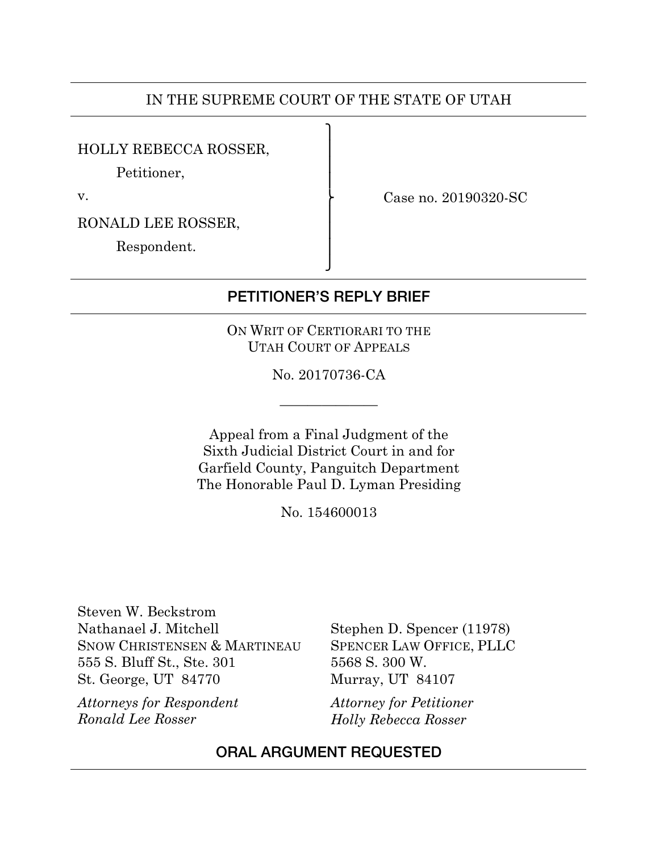### IN THE SUPREME COURT OF THE STATE OF UTAH

 $\mathbf{I}$  $\overline{a}$  $\overline{a}$  $\overline{a}$ 

 $\overline{a}$  $\overline{a}$  $\overline{a}$ ⎭

#### HOLLY REBECCA ROSSER,

Petitioner,

v.

⎬ Case no. 20190320-SC

RONALD LEE ROSSER,

Respondent.

## PETITIONER'S REPLY BRIEF

ON WRIT OF CERTIORARI TO THE UTAH COURT OF APPEALS

No. 20170736-CA

———————

Appeal from a Final Judgment of the Sixth Judicial District Court in and for Garfield County, Panguitch Department The Honorable Paul D. Lyman Presiding

No. 154600013

Steven W. Beckstrom Nathanael J. Mitchell SNOW CHRISTENSEN & MARTINEAU 555 S. Bluff St., Ste. 301 St. George, UT 84770

*Attorneys for Respondent Ronald Lee Rosser*

Stephen D. Spencer (11978) SPENCER LAW OFFICE, PLLC 5568 S. 300 W. Murray, UT 84107

*Attorney for Petitioner Holly Rebecca Rosser*

#### ORAL ARGUMENT REQUESTED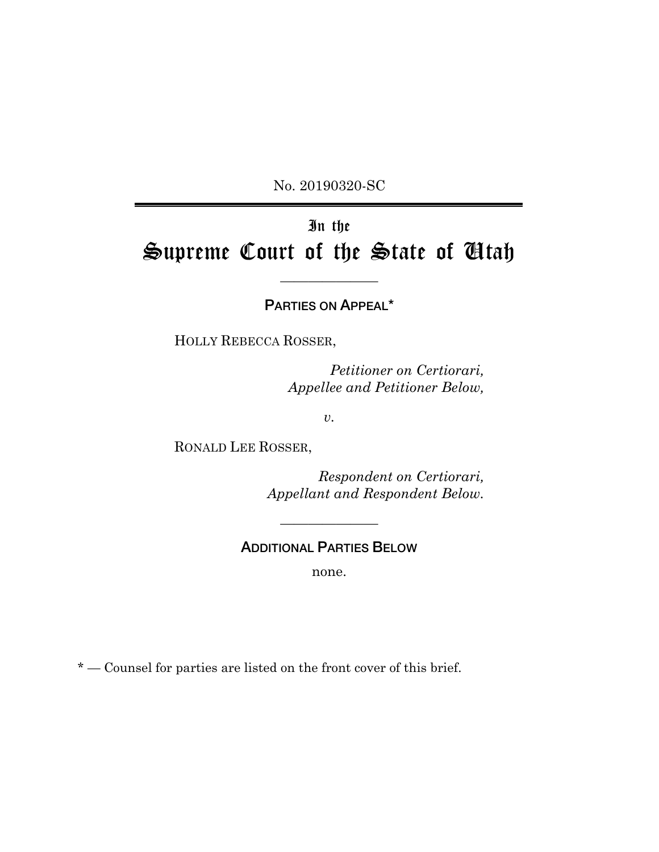No. 20190320-SC

# In the Supreme Court of the State of Utah

## PARTIES ON APPEAL\*

———————

HOLLY REBECCA ROSSER,

*Petitioner on Certiorari, Appellee and Petitioner Below,*

*v.*

RONALD LEE ROSSER,

*Respondent on Certiorari, Appellant and Respondent Below.*

ADDITIONAL PARTIES BELOW

———————

none.

\* — Counsel for parties are listed on the front cover of this brief.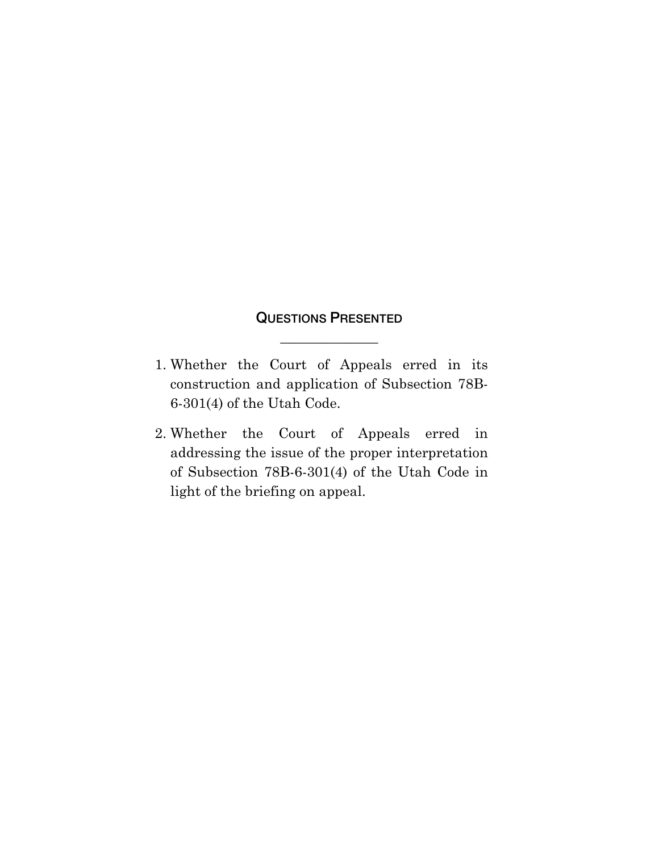## QUESTIONS PRESENTED

———————

- 1. Whether the Court of Appeals erred in its construction and application of Subsection 78B-6-301(4) of the Utah Code.
- 2. Whether the Court of Appeals erred in addressing the issue of the proper interpretation of Subsection 78B-6-301(4) of the Utah Code in light of the briefing on appeal.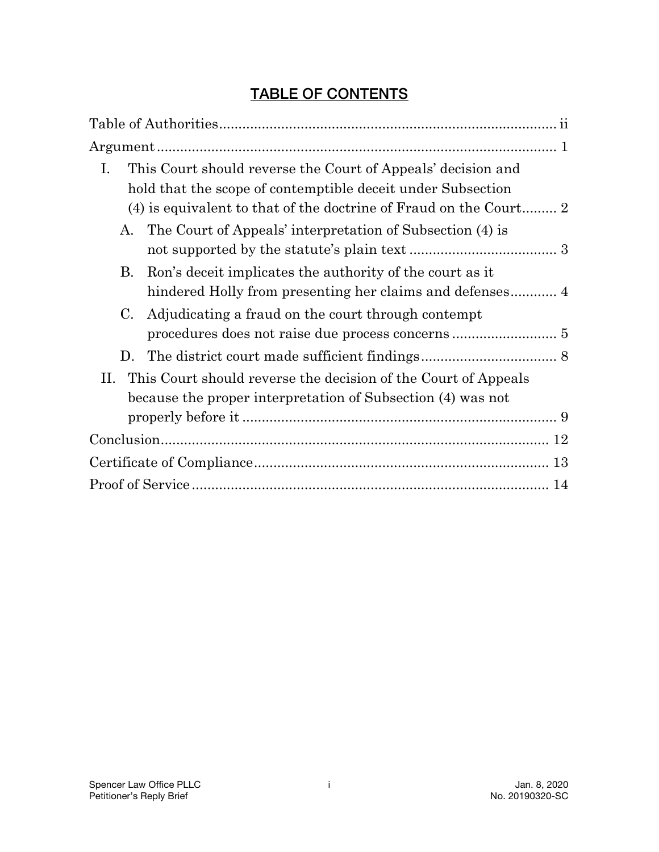# TABLE OF CONTENTS

| Ι.<br>This Court should reverse the Court of Appeals' decision and    |
|-----------------------------------------------------------------------|
| hold that the scope of contemptible deceit under Subsection           |
|                                                                       |
| The Court of Appeals' interpretation of Subsection (4) is<br>А.       |
|                                                                       |
| Ron's deceit implicates the authority of the court as it<br>Β.        |
|                                                                       |
| Adjudicating a fraud on the court through contempt<br>C.              |
|                                                                       |
| D.                                                                    |
| This Court should reverse the decision of the Court of Appeals<br>II. |
| because the proper interpretation of Subsection (4) was not           |
|                                                                       |
|                                                                       |
|                                                                       |
|                                                                       |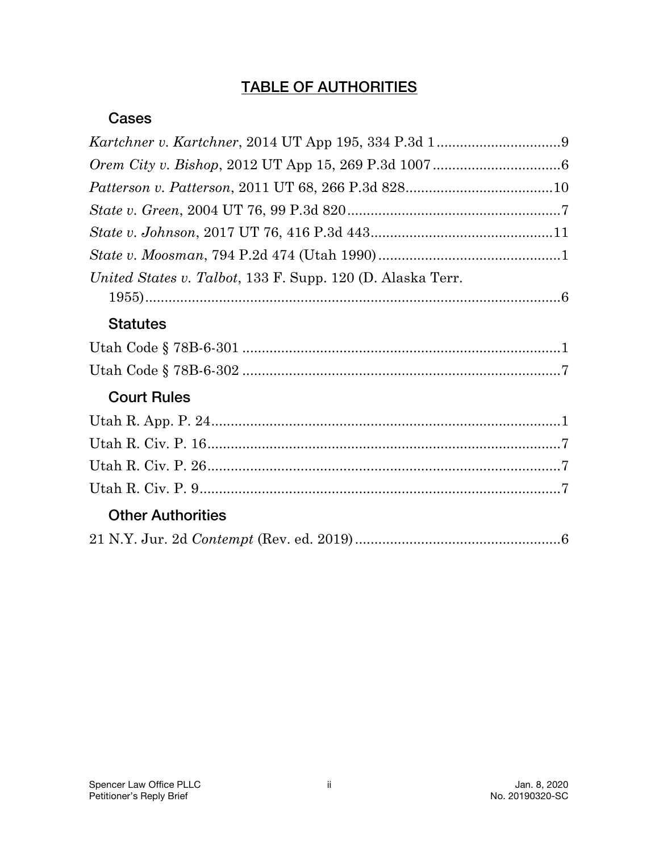# TABLE OF AUTHORITIES

### Cases

| United States v. Talbot, 133 F. Supp. 120 (D. Alaska Terr. |  |
|------------------------------------------------------------|--|
|                                                            |  |
| <b>Statutes</b>                                            |  |
|                                                            |  |
|                                                            |  |
| <b>Court Rules</b>                                         |  |
|                                                            |  |
|                                                            |  |
|                                                            |  |
|                                                            |  |
| <b>Other Authorities</b>                                   |  |
|                                                            |  |
|                                                            |  |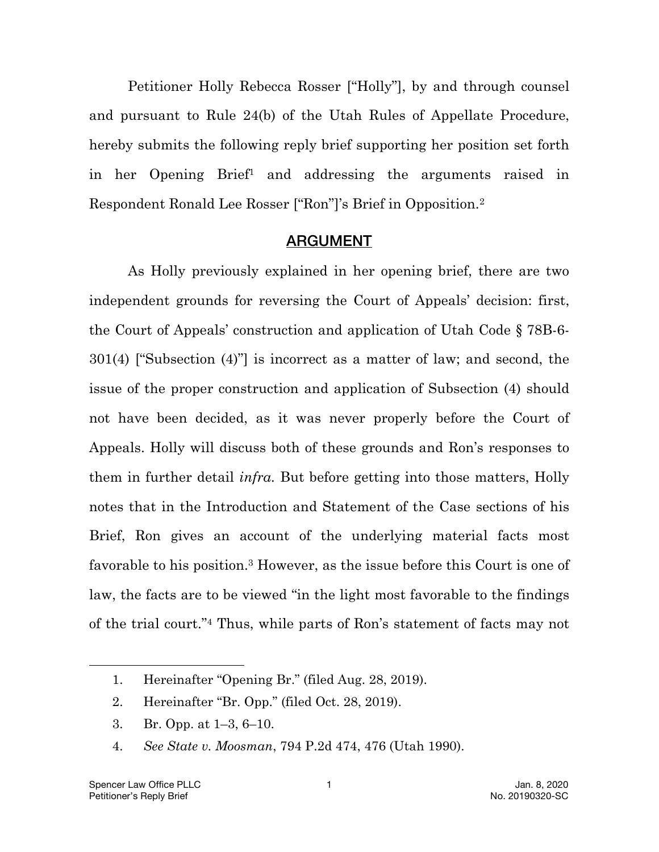Petitioner Holly Rebecca Rosser ["Holly"], by and through counsel and pursuant to Rule 24(b) of the Utah Rules of Appellate Procedure, hereby submits the following reply brief supporting her position set forth in her Opening Brief1 and addressing the arguments raised in Respondent Ronald Lee Rosser ["Ron"]'s Brief in Opposition.2

#### ARGUMENT

As Holly previously explained in her opening brief, there are two independent grounds for reversing the Court of Appeals' decision: first, the Court of Appeals' construction and application of Utah Code § 78B-6- 301(4) ["Subsection (4)"] is incorrect as a matter of law; and second, the issue of the proper construction and application of Subsection (4) should not have been decided, as it was never properly before the Court of Appeals. Holly will discuss both of these grounds and Ron's responses to them in further detail *infra.* But before getting into those matters, Holly notes that in the Introduction and Statement of the Case sections of his Brief, Ron gives an account of the underlying material facts most favorable to his position.3 However, as the issue before this Court is one of law, the facts are to be viewed "in the light most favorable to the findings of the trial court."4 Thus, while parts of Ron's statement of facts may not

- 2. Hereinafter "Br. Opp." (filed Oct. 28, 2019).
- 3. Br. Opp. at 1–3, 6–10.
- 4. *See State v. Moosman*, 794 P.2d 474, 476 (Utah 1990).

<sup>1.</sup> Hereinafter "Opening Br." (filed Aug. 28, 2019).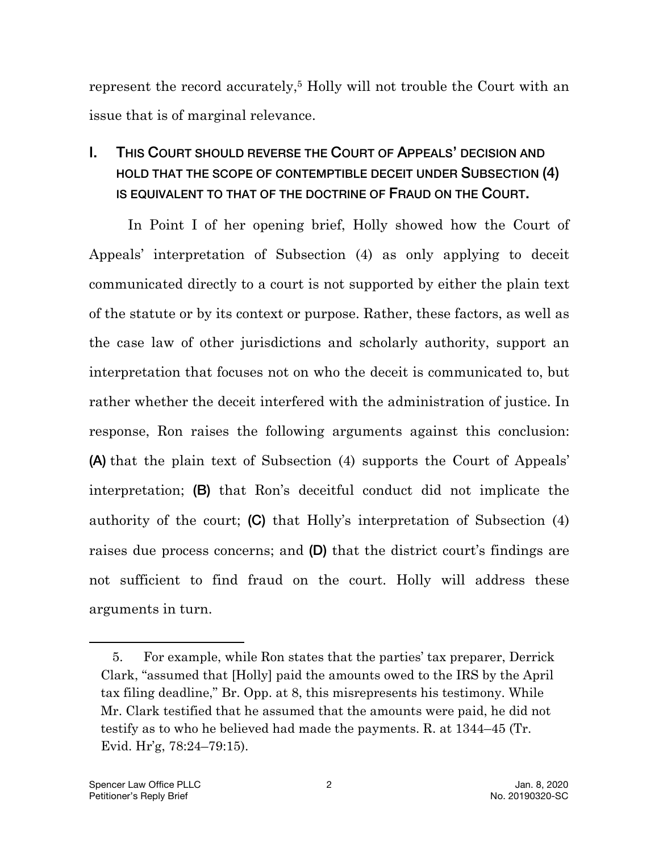represent the record accurately,<sup>5</sup> Holly will not trouble the Court with an issue that is of marginal relevance.

# I. THIS COURT SHOULD REVERSE THE COURT OF APPEALS' DECISION AND HOLD THAT THE SCOPE OF CONTEMPTIBLE DECEIT UNDER SUBSECTION (4) IS EQUIVALENT TO THAT OF THE DOCTRINE OF FRAUD ON THE COURT.

In Point I of her opening brief, Holly showed how the Court of Appeals' interpretation of Subsection (4) as only applying to deceit communicated directly to a court is not supported by either the plain text of the statute or by its context or purpose. Rather, these factors, as well as the case law of other jurisdictions and scholarly authority, support an interpretation that focuses not on who the deceit is communicated to, but rather whether the deceit interfered with the administration of justice. In response, Ron raises the following arguments against this conclusion: (A) that the plain text of Subsection (4) supports the Court of Appeals' interpretation; (B) that Ron's deceitful conduct did not implicate the authority of the court; (C) that Holly's interpretation of Subsection (4) raises due process concerns; and (D) that the district court's findings are not sufficient to find fraud on the court. Holly will address these arguments in turn.

<sup>5.</sup> For example, while Ron states that the parties' tax preparer, Derrick Clark, "assumed that [Holly] paid the amounts owed to the IRS by the April tax filing deadline," Br. Opp. at 8, this misrepresents his testimony. While Mr. Clark testified that he assumed that the amounts were paid, he did not testify as to who he believed had made the payments. R. at 1344–45 (Tr. Evid. Hr'g, 78:24–79:15).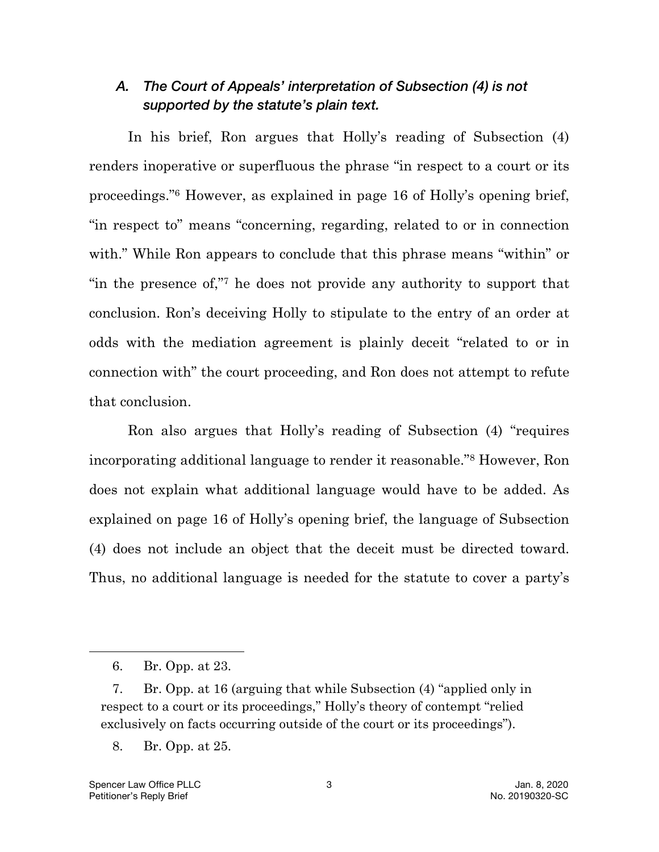### *A. The Court of Appeals' interpretation of Subsection (4) is not supported by the statute's plain text.*

In his brief, Ron argues that Holly's reading of Subsection (4) renders inoperative or superfluous the phrase "in respect to a court or its proceedings."6 However, as explained in page 16 of Holly's opening brief, "in respect to" means "concerning, regarding, related to or in connection with." While Ron appears to conclude that this phrase means "within" or "in the presence of,"7 he does not provide any authority to support that conclusion. Ron's deceiving Holly to stipulate to the entry of an order at odds with the mediation agreement is plainly deceit "related to or in connection with" the court proceeding, and Ron does not attempt to refute that conclusion.

Ron also argues that Holly's reading of Subsection (4) "requires incorporating additional language to render it reasonable."8 However, Ron does not explain what additional language would have to be added. As explained on page 16 of Holly's opening brief, the language of Subsection (4) does not include an object that the deceit must be directed toward. Thus, no additional language is needed for the statute to cover a party's

<sup>6.</sup> Br. Opp. at 23.

<sup>7.</sup> Br. Opp. at 16 (arguing that while Subsection (4) "applied only in respect to a court or its proceedings," Holly's theory of contempt "relied exclusively on facts occurring outside of the court or its proceedings").

<sup>8.</sup> Br. Opp. at 25.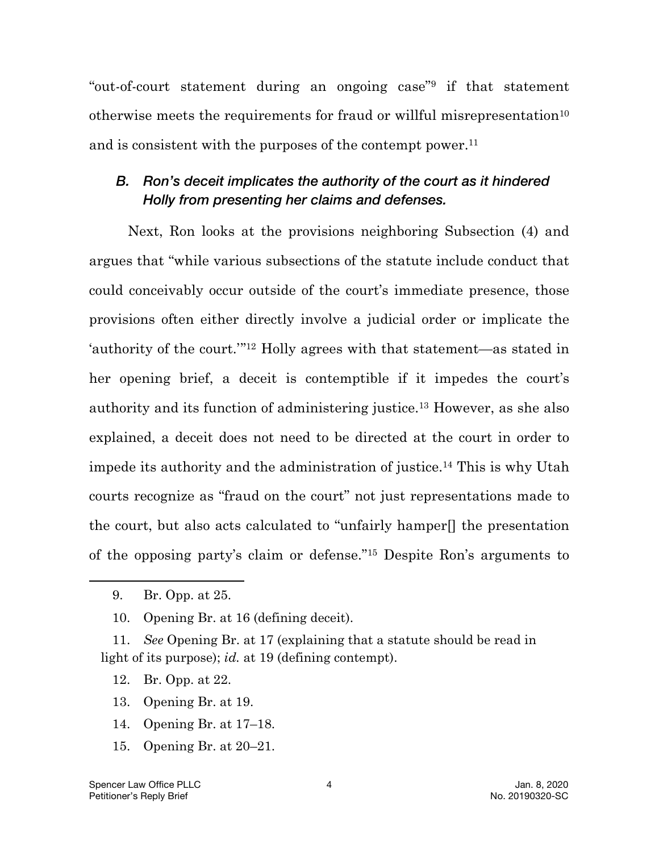"out-of-court statement during an ongoing case"9 if that statement otherwise meets the requirements for fraud or willful misrepresentation<sup>10</sup> and is consistent with the purposes of the contempt power.<sup>11</sup>

## *B. Ron's deceit implicates the authority of the court as it hindered Holly from presenting her claims and defenses.*

Next, Ron looks at the provisions neighboring Subsection (4) and argues that "while various subsections of the statute include conduct that could conceivably occur outside of the court's immediate presence, those provisions often either directly involve a judicial order or implicate the 'authority of the court.'"12 Holly agrees with that statement—as stated in her opening brief, a deceit is contemptible if it impedes the court's authority and its function of administering justice.13 However, as she also explained, a deceit does not need to be directed at the court in order to impede its authority and the administration of justice.14 This is why Utah courts recognize as "fraud on the court" not just representations made to the court, but also acts calculated to "unfairly hamper[] the presentation of the opposing party's claim or defense."15 Despite Ron's arguments to

11. *See* Opening Br. at 17 (explaining that a statute should be read in light of its purpose); *id.* at 19 (defining contempt).

- 13. Opening Br. at 19.
- 14. Opening Br. at 17–18.
- 15. Opening Br. at 20–21.

<sup>9.</sup> Br. Opp. at 25.

<sup>10.</sup> Opening Br. at 16 (defining deceit).

<sup>12.</sup> Br. Opp. at 22.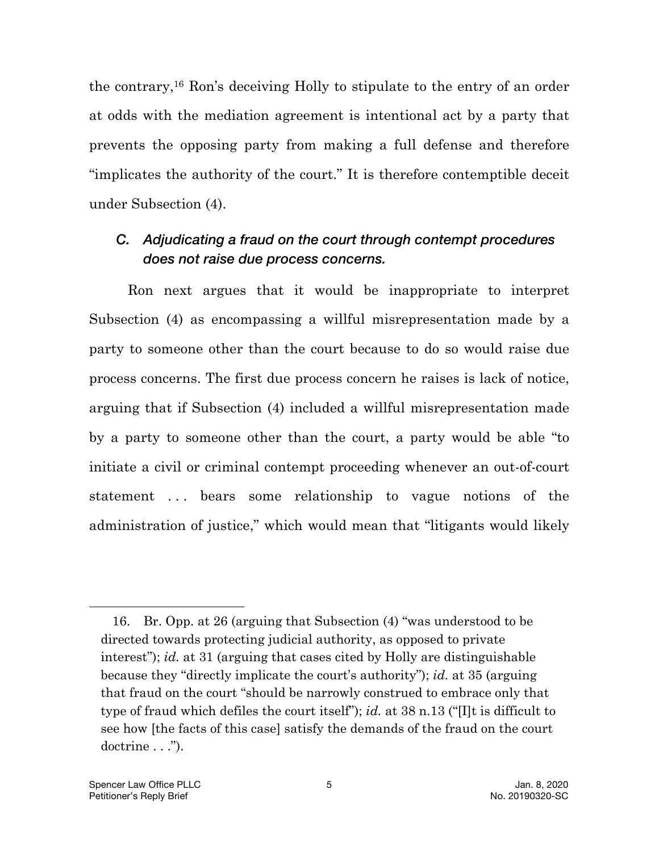the contrary,16 Ron's deceiving Holly to stipulate to the entry of an order at odds with the mediation agreement is intentional act by a party that prevents the opposing party from making a full defense and therefore "implicates the authority of the court." It is therefore contemptible deceit under Subsection (4).

### *C. Adjudicating a fraud on the court through contempt procedures does not raise due process concerns.*

Ron next argues that it would be inappropriate to interpret Subsection (4) as encompassing a willful misrepresentation made by a party to someone other than the court because to do so would raise due process concerns. The first due process concern he raises is lack of notice, arguing that if Subsection (4) included a willful misrepresentation made by a party to someone other than the court, a party would be able "to initiate a civil or criminal contempt proceeding whenever an out-of-court statement ... bears some relationship to vague notions of the administration of justice," which would mean that "litigants would likely

<sup>16.</sup> Br. Opp. at 26 (arguing that Subsection (4) "was understood to be directed towards protecting judicial authority, as opposed to private interest"); *id.* at 31 (arguing that cases cited by Holly are distinguishable because they "directly implicate the court's authority"); *id.* at 35 (arguing that fraud on the court "should be narrowly construed to embrace only that type of fraud which defiles the court itself"); *id.* at 38 n.13 ("[I]t is difficult to see how [the facts of this case] satisfy the demands of the fraud on the court doctrine . . .").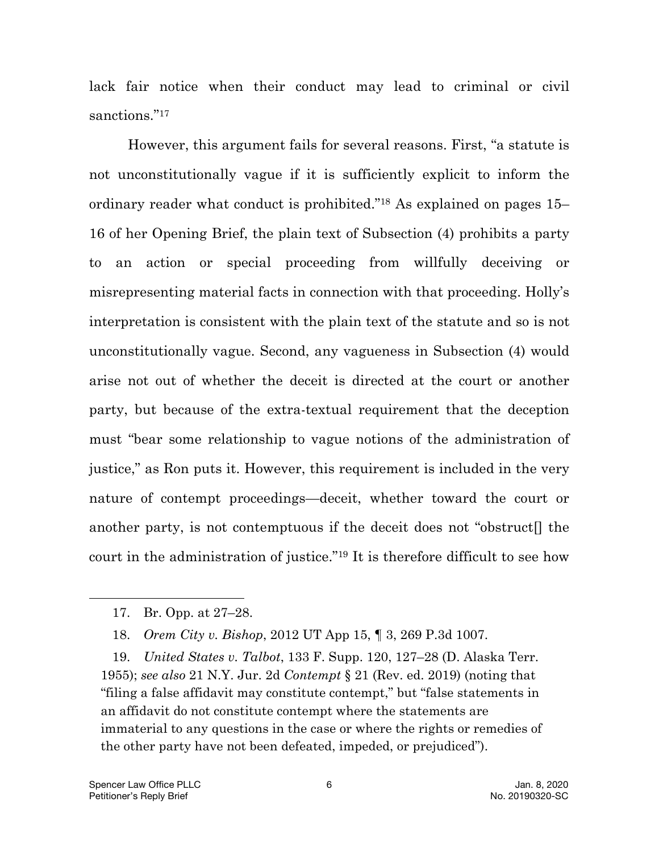lack fair notice when their conduct may lead to criminal or civil sanctions."<sup>17</sup>

However, this argument fails for several reasons. First, "a statute is not unconstitutionally vague if it is sufficiently explicit to inform the ordinary reader what conduct is prohibited."18 As explained on pages 15– 16 of her Opening Brief, the plain text of Subsection (4) prohibits a party to an action or special proceeding from willfully deceiving or misrepresenting material facts in connection with that proceeding. Holly's interpretation is consistent with the plain text of the statute and so is not unconstitutionally vague. Second, any vagueness in Subsection (4) would arise not out of whether the deceit is directed at the court or another party, but because of the extra-textual requirement that the deception must "bear some relationship to vague notions of the administration of justice," as Ron puts it. However, this requirement is included in the very nature of contempt proceedings—deceit, whether toward the court or another party, is not contemptuous if the deceit does not "obstruct[] the court in the administration of justice."19 It is therefore difficult to see how

19. *United States v. Talbot*, 133 F. Supp. 120, 127–28 (D. Alaska Terr. 1955); *see also* 21 N.Y. Jur. 2d *Contempt* § 21 (Rev. ed. 2019) (noting that "filing a false affidavit may constitute contempt," but "false statements in an affidavit do not constitute contempt where the statements are immaterial to any questions in the case or where the rights or remedies of the other party have not been defeated, impeded, or prejudiced").

<sup>17.</sup> Br. Opp. at 27–28.

<sup>18.</sup> *Orem City v. Bishop*, 2012 UT App 15, ¶ 3, 269 P.3d 1007.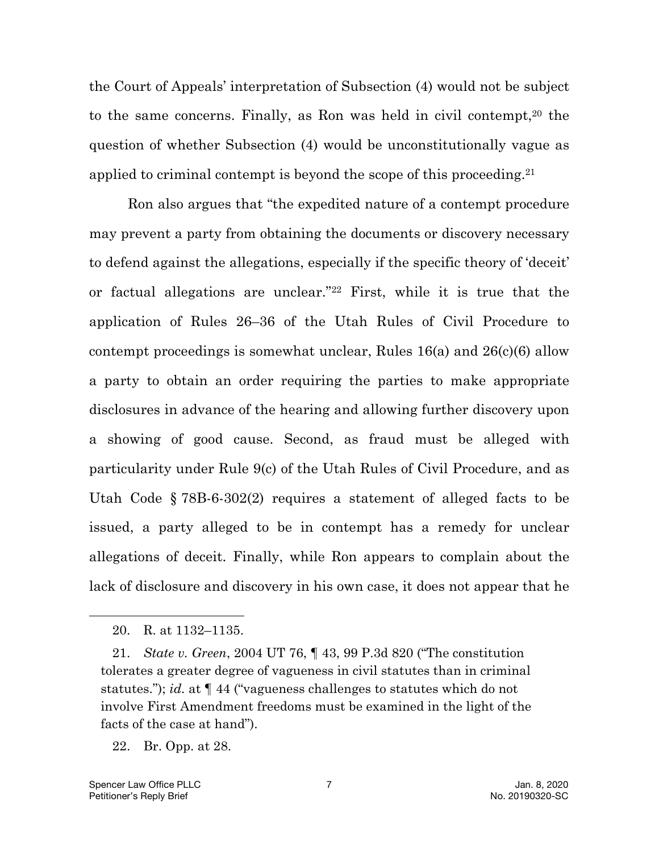the Court of Appeals' interpretation of Subsection (4) would not be subject to the same concerns. Finally, as Ron was held in civil contempt,<sup>20</sup> the question of whether Subsection (4) would be unconstitutionally vague as applied to criminal contempt is beyond the scope of this proceeding.<sup>21</sup>

Ron also argues that "the expedited nature of a contempt procedure may prevent a party from obtaining the documents or discovery necessary to defend against the allegations, especially if the specific theory of 'deceit' or factual allegations are unclear."22 First, while it is true that the application of Rules 26–36 of the Utah Rules of Civil Procedure to contempt proceedings is somewhat unclear, Rules 16(a) and 26(c)(6) allow a party to obtain an order requiring the parties to make appropriate disclosures in advance of the hearing and allowing further discovery upon a showing of good cause. Second, as fraud must be alleged with particularity under Rule 9(c) of the Utah Rules of Civil Procedure, and as Utah Code § 78B-6-302(2) requires a statement of alleged facts to be issued, a party alleged to be in contempt has a remedy for unclear allegations of deceit. Finally, while Ron appears to complain about the lack of disclosure and discovery in his own case, it does not appear that he

l

<sup>20.</sup> R. at 1132–1135.

<sup>21.</sup> *State v. Green*, 2004 UT 76, ¶ 43, 99 P.3d 820 ("The constitution tolerates a greater degree of vagueness in civil statutes than in criminal statutes."); *id.* at ¶ 44 ("vagueness challenges to statutes which do not involve First Amendment freedoms must be examined in the light of the facts of the case at hand").

<sup>22.</sup> Br. Opp. at 28.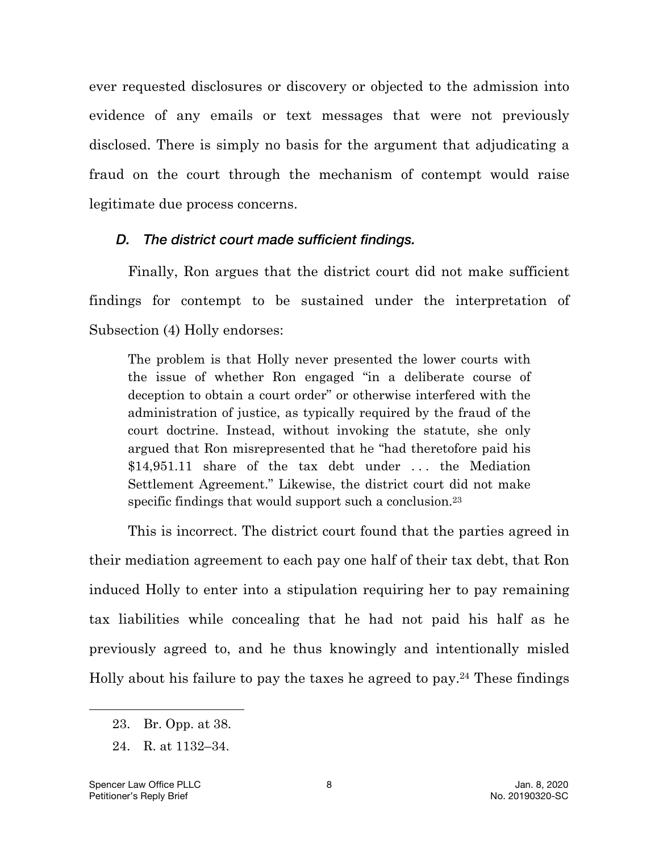ever requested disclosures or discovery or objected to the admission into evidence of any emails or text messages that were not previously disclosed. There is simply no basis for the argument that adjudicating a fraud on the court through the mechanism of contempt would raise legitimate due process concerns.

#### *D. The district court made sufficient findings.*

Finally, Ron argues that the district court did not make sufficient findings for contempt to be sustained under the interpretation of Subsection (4) Holly endorses:

The problem is that Holly never presented the lower courts with the issue of whether Ron engaged "in a deliberate course of deception to obtain a court order" or otherwise interfered with the administration of justice, as typically required by the fraud of the court doctrine. Instead, without invoking the statute, she only argued that Ron misrepresented that he "had theretofore paid his \$14,951.11 share of the tax debt under ... the Mediation Settlement Agreement." Likewise, the district court did not make specific findings that would support such a conclusion.23

This is incorrect. The district court found that the parties agreed in their mediation agreement to each pay one half of their tax debt, that Ron induced Holly to enter into a stipulation requiring her to pay remaining tax liabilities while concealing that he had not paid his half as he previously agreed to, and he thus knowingly and intentionally misled Holly about his failure to pay the taxes he agreed to pay. <sup>24</sup> These findings

<sup>23.</sup> Br. Opp. at 38.

<sup>24.</sup> R. at 1132–34.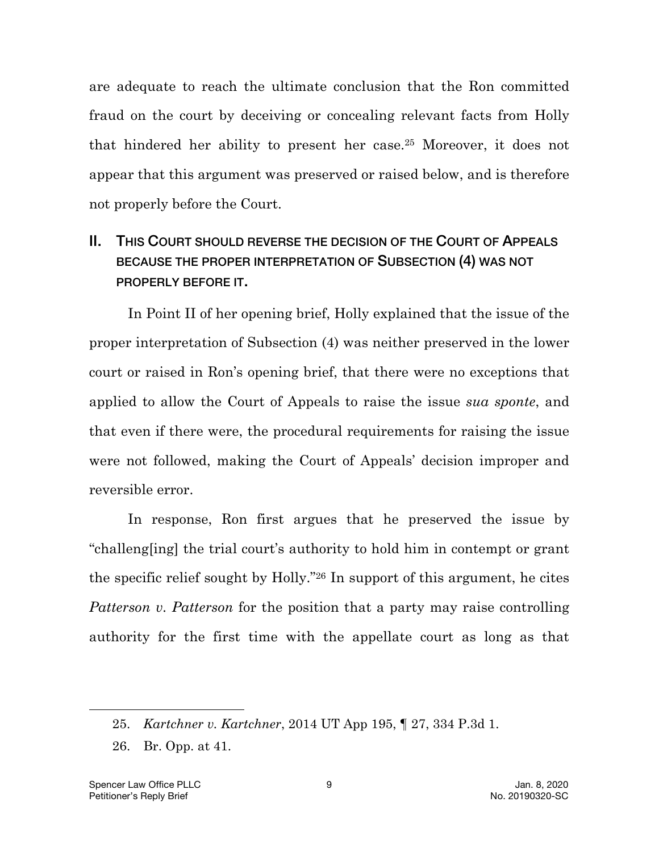are adequate to reach the ultimate conclusion that the Ron committed fraud on the court by deceiving or concealing relevant facts from Holly that hindered her ability to present her case.25 Moreover, it does not appear that this argument was preserved or raised below, and is therefore not properly before the Court.

# II. THIS COURT SHOULD REVERSE THE DECISION OF THE COURT OF APPEALS BECAUSE THE PROPER INTERPRETATION OF SUBSECTION (4) WAS NOT PROPERLY BEFORE IT.

In Point II of her opening brief, Holly explained that the issue of the proper interpretation of Subsection (4) was neither preserved in the lower court or raised in Ron's opening brief, that there were no exceptions that applied to allow the Court of Appeals to raise the issue *sua sponte*, and that even if there were, the procedural requirements for raising the issue were not followed, making the Court of Appeals' decision improper and reversible error.

In response, Ron first argues that he preserved the issue by "challeng[ing] the trial court's authority to hold him in contempt or grant the specific relief sought by Holly."26 In support of this argument, he cites *Patterson v. Patterson* for the position that a party may raise controlling authority for the first time with the appellate court as long as that

<sup>25.</sup> *Kartchner v. Kartchner*, 2014 UT App 195, ¶ 27, 334 P.3d 1.

<sup>26.</sup> Br. Opp. at 41.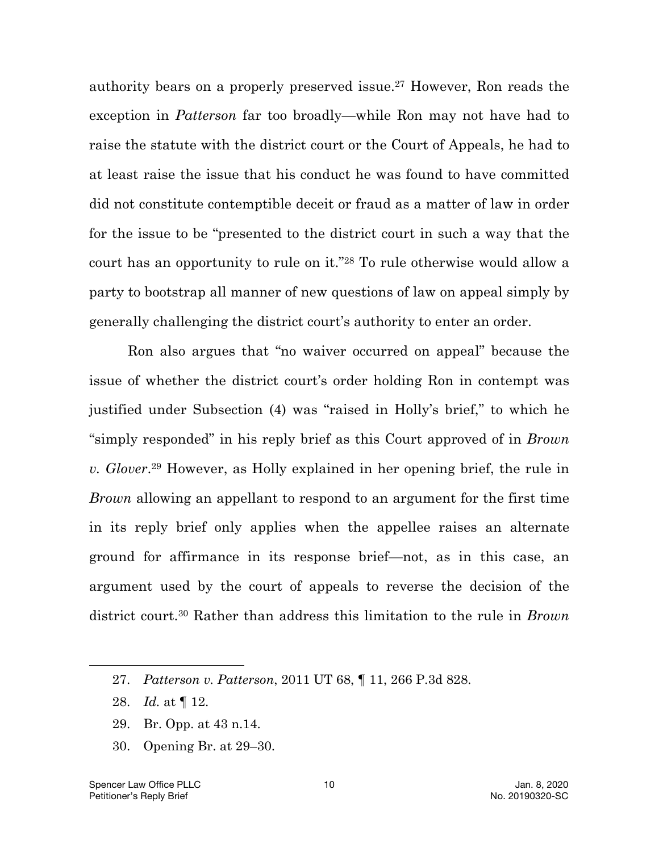authority bears on a properly preserved issue.27 However, Ron reads the exception in *Patterson* far too broadly—while Ron may not have had to raise the statute with the district court or the Court of Appeals, he had to at least raise the issue that his conduct he was found to have committed did not constitute contemptible deceit or fraud as a matter of law in order for the issue to be "presented to the district court in such a way that the court has an opportunity to rule on it."28 To rule otherwise would allow a party to bootstrap all manner of new questions of law on appeal simply by generally challenging the district court's authority to enter an order.

Ron also argues that "no waiver occurred on appeal" because the issue of whether the district court's order holding Ron in contempt was justified under Subsection (4) was "raised in Holly's brief," to which he "simply responded" in his reply brief as this Court approved of in *Brown v. Glover*. 29 However, as Holly explained in her opening brief, the rule in *Brown* allowing an appellant to respond to an argument for the first time in its reply brief only applies when the appellee raises an alternate ground for affirmance in its response brief—not, as in this case, an argument used by the court of appeals to reverse the decision of the district court.30 Rather than address this limitation to the rule in *Brown*

28. *Id.* at ¶ 12.

- 29. Br. Opp. at 43 n.14.
- 30. Opening Br. at 29–30.

<sup>27.</sup> *Patterson v. Patterson*, 2011 UT 68, ¶ 11, 266 P.3d 828.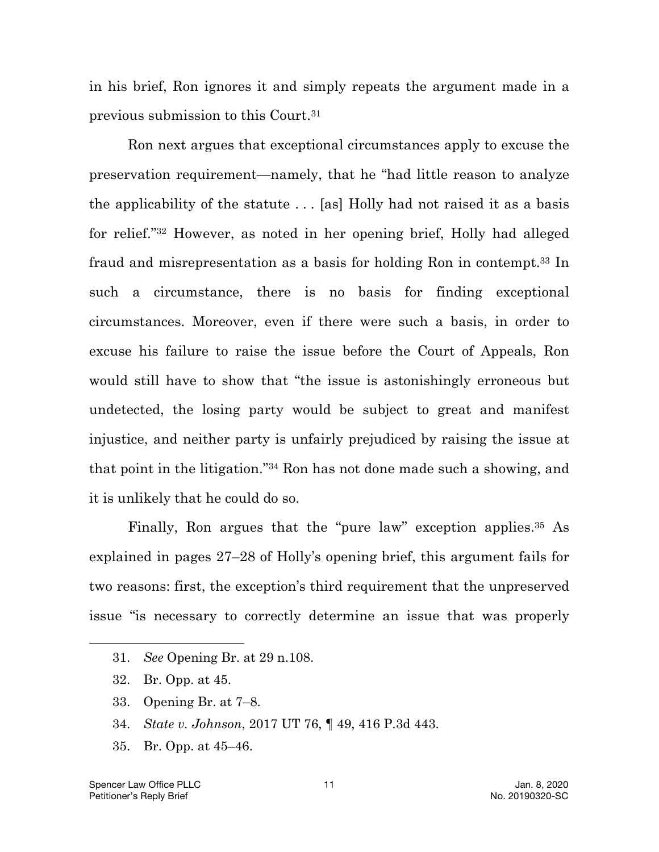in his brief, Ron ignores it and simply repeats the argument made in a previous submission to this Court.31

Ron next argues that exceptional circumstances apply to excuse the preservation requirement—namely, that he "had little reason to analyze the applicability of the statute . . . [as] Holly had not raised it as a basis for relief."32 However, as noted in her opening brief, Holly had alleged fraud and misrepresentation as a basis for holding Ron in contempt.33 In such a circumstance, there is no basis for finding exceptional circumstances. Moreover, even if there were such a basis, in order to excuse his failure to raise the issue before the Court of Appeals, Ron would still have to show that "the issue is astonishingly erroneous but undetected, the losing party would be subject to great and manifest injustice, and neither party is unfairly prejudiced by raising the issue at that point in the litigation."34 Ron has not done made such a showing, and it is unlikely that he could do so.

Finally, Ron argues that the "pure law" exception applies.<sup>35</sup> As explained in pages 27–28 of Holly's opening brief, this argument fails for two reasons: first, the exception's third requirement that the unpreserved issue "is necessary to correctly determine an issue that was properly

- 33. Opening Br. at 7–8.
- 34. *State v. Johnson*, 2017 UT 76, ¶ 49, 416 P.3d 443.
- 35. Br. Opp. at 45–46.

<sup>31.</sup> *See* Opening Br. at 29 n.108.

<sup>32.</sup> Br. Opp. at 45.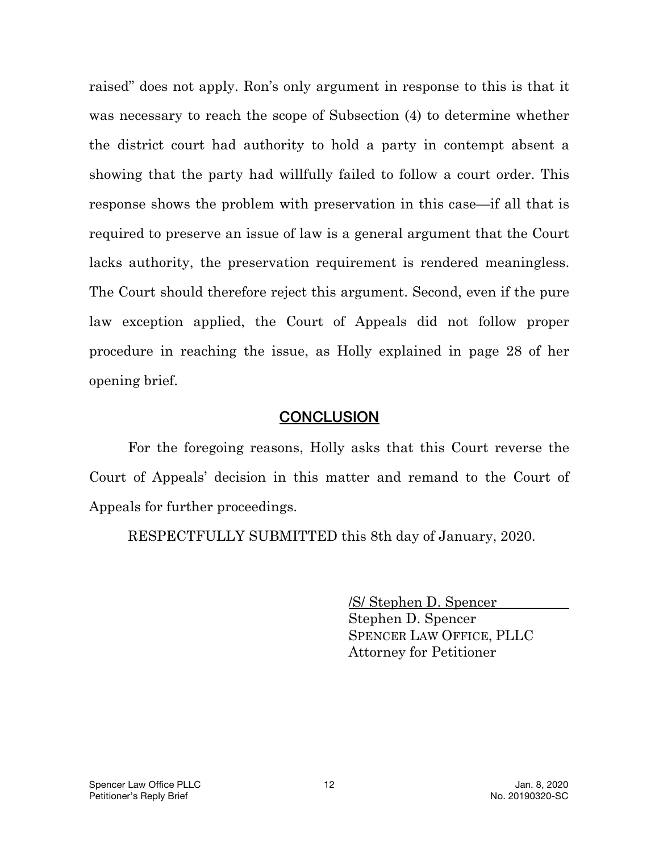raised" does not apply. Ron's only argument in response to this is that it was necessary to reach the scope of Subsection (4) to determine whether the district court had authority to hold a party in contempt absent a showing that the party had willfully failed to follow a court order. This response shows the problem with preservation in this case—if all that is required to preserve an issue of law is a general argument that the Court lacks authority, the preservation requirement is rendered meaningless. The Court should therefore reject this argument. Second, even if the pure law exception applied, the Court of Appeals did not follow proper procedure in reaching the issue, as Holly explained in page 28 of her opening brief.

#### **CONCLUSION**

For the foregoing reasons, Holly asks that this Court reverse the Court of Appeals' decision in this matter and remand to the Court of Appeals for further proceedings.

RESPECTFULLY SUBMITTED this 8th day of January, 2020.

/S/ Stephen D. Spencer Stephen D. Spencer

SPENCER LAW OFFICE, PLLC Attorney for Petitioner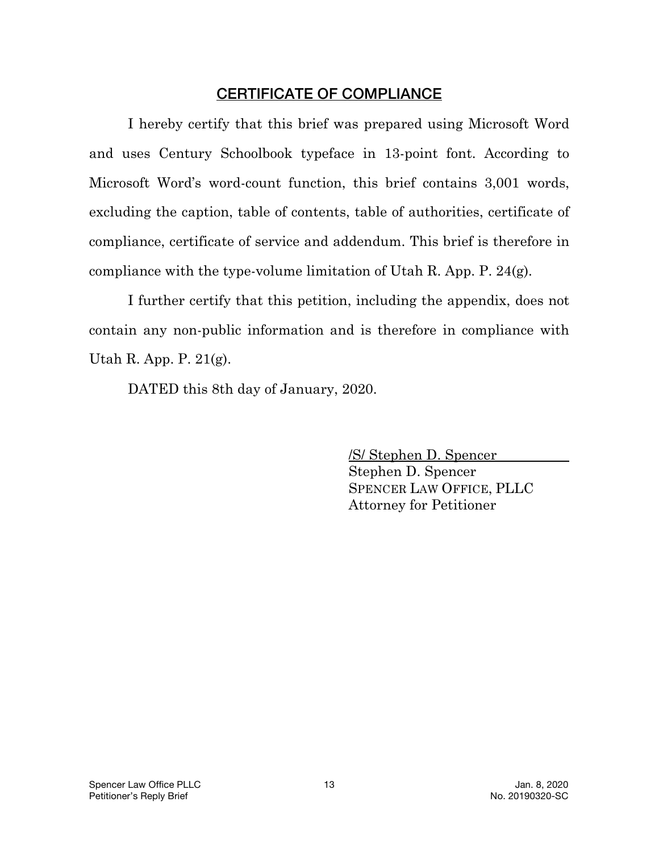## CERTIFICATE OF COMPLIANCE

I hereby certify that this brief was prepared using Microsoft Word and uses Century Schoolbook typeface in 13-point font. According to Microsoft Word's word-count function, this brief contains 3,001 words, excluding the caption, table of contents, table of authorities, certificate of compliance, certificate of service and addendum. This brief is therefore in compliance with the type-volume limitation of Utah R. App. P. 24(g).

I further certify that this petition, including the appendix, does not contain any non-public information and is therefore in compliance with Utah R. App. P. 21(g).

DATED this 8th day of January, 2020.

/S/ Stephen D. Spencer Stephen D. Spencer SPENCER LAW OFFICE, PLLC Attorney for Petitioner